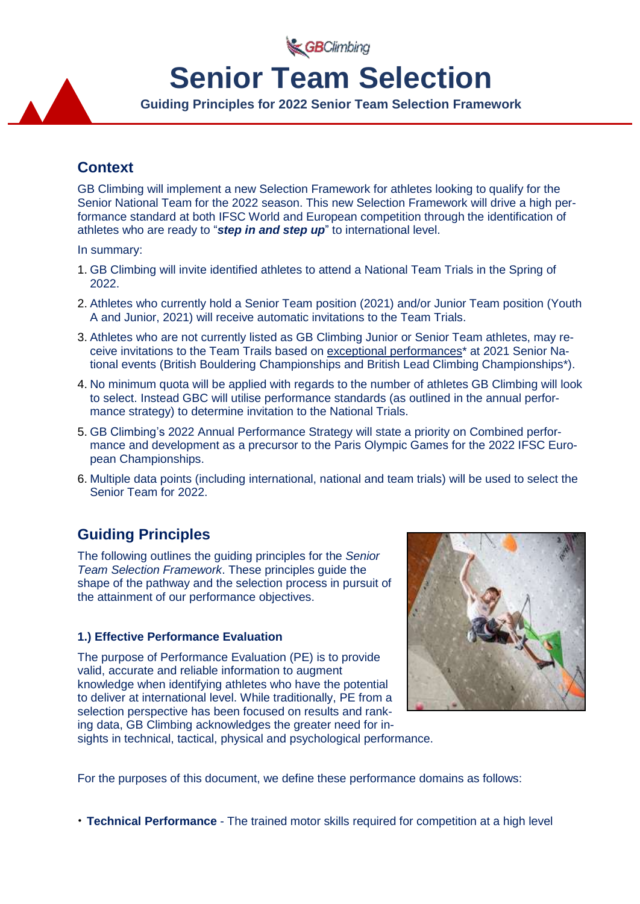GBClimbing

# **Senior Team Selection**

**Guiding Principles for 2022 Senior Team Selection Framework**

# **Context**

GB Climbing will implement a new Selection Framework for athletes looking to qualify for the Senior National Team for the 2022 season. This new Selection Framework will drive a high performance standard at both IFSC World and European competition through the identification of athletes who are ready to "*step in and step up*" to international level.

In summary:

- 1. GB Climbing will invite identified athletes to attend a National Team Trials in the Spring of 2022.
- 2. Athletes who currently hold a Senior Team position (2021) and/or Junior Team position (Youth A and Junior, 2021) will receive automatic invitations to the Team Trials.
- 3. Athletes who are not currently listed as GB Climbing Junior or Senior Team athletes, may receive invitations to the Team Trails based on exceptional performances<sup>\*</sup> at 2021 Senior National events (British Bouldering Championships and British Lead Climbing Championships\*).
- 4. No minimum quota will be applied with regards to the number of athletes GB Climbing will look to select. Instead GBC will utilise performance standards (as outlined in the annual performance strategy) to determine invitation to the National Trials.
- 5. GB Climbing's 2022 Annual Performance Strategy will state a priority on Combined performance and development as a precursor to the Paris Olympic Games for the 2022 IFSC European Championships.
- 6. Multiple data points (including international, national and team trials) will be used to select the Senior Team for 2022.

# **Guiding Principles**

The following outlines the guiding principles for the *Senior Team Selection Framework*. These principles guide the shape of the pathway and the selection process in pursuit of the attainment of our performance objectives.

## **1.) Effective Performance Evaluation**

The purpose of Performance Evaluation (PE) is to provide valid, accurate and reliable information to augment knowledge when identifying athletes who have the potential to deliver at international level. While traditionally, PE from a selection perspective has been focused on results and ranking data, GB Climbing acknowledges the greater need for insights in technical, tactical, physical and psychological performance.



For the purposes of this document, we define these performance domains as follows:

• **Technical Performance** - The trained motor skills required for competition at a high level